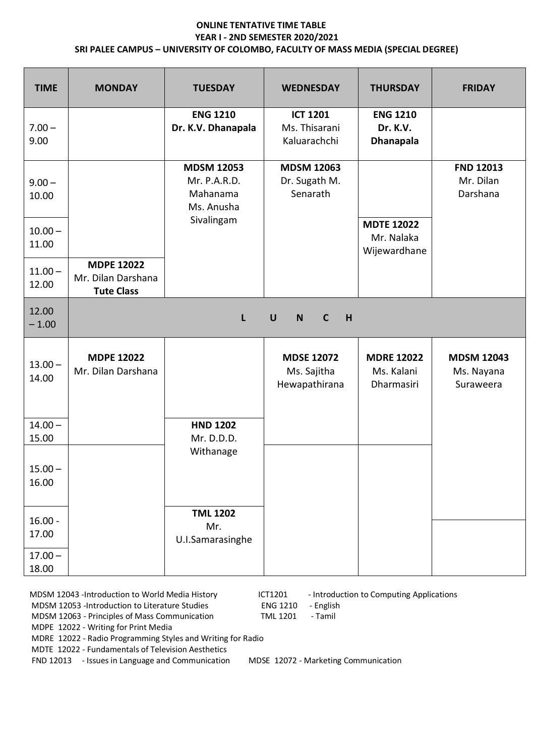## **ONLINE TENTATIVE TIME TABLE YEAR I - 2ND SEMESTER 2020/2021 SRI PALEE CAMPUS – UNIVERSITY OF COLOMBO, FACULTY OF MASS MEDIA (SPECIAL DEGREE)**

| <b>TIME</b>        | <b>MONDAY</b>                                                | <b>TUESDAY</b>                                              | <b>WEDNESDAY</b>                                  | <b>THURSDAY</b>                                 | <b>FRIDAY</b>                                |
|--------------------|--------------------------------------------------------------|-------------------------------------------------------------|---------------------------------------------------|-------------------------------------------------|----------------------------------------------|
| $7.00 -$<br>9.00   |                                                              | <b>ENG 1210</b><br>Dr. K.V. Dhanapala                       | <b>ICT 1201</b><br>Ms. Thisarani<br>Kaluarachchi  | <b>ENG 1210</b><br>Dr. K.V.<br><b>Dhanapala</b> |                                              |
| $9.00 -$<br>10.00  |                                                              | <b>MDSM 12053</b><br>Mr. P.A.R.D.<br>Mahanama<br>Ms. Anusha | <b>MDSM 12063</b><br>Dr. Sugath M.<br>Senarath    |                                                 | <b>FND 12013</b><br>Mr. Dilan<br>Darshana    |
| $10.00 -$<br>11.00 |                                                              | Sivalingam                                                  |                                                   | <b>MDTE 12022</b><br>Mr. Nalaka<br>Wijewardhane |                                              |
| $11.00 -$<br>12.00 | <b>MDPE 12022</b><br>Mr. Dilan Darshana<br><b>Tute Class</b> |                                                             |                                                   |                                                 |                                              |
| 12.00<br>$-1.00$   |                                                              | $\mathsf{L}$                                                | $\mathbf C$<br>$\cup$<br>$\mathbf N$<br>H         |                                                 |                                              |
| $13.00 -$<br>14.00 | <b>MDPE 12022</b><br>Mr. Dilan Darshana                      |                                                             | <b>MDSE 12072</b><br>Ms. Sajitha<br>Hewapathirana | <b>MDRE 12022</b><br>Ms. Kalani<br>Dharmasiri   | <b>MDSM 12043</b><br>Ms. Nayana<br>Suraweera |
| $14.00 -$<br>15.00 |                                                              | <b>HND 1202</b><br>Mr. D.D.D.                               |                                                   |                                                 |                                              |
| $15.00 -$<br>16.00 |                                                              | Withanage                                                   |                                                   |                                                 |                                              |
| $16.00 -$<br>17.00 |                                                              | <b>TML 1202</b><br>Mr.<br>U.I.Samarasinghe                  |                                                   |                                                 |                                              |
| $17.00 -$<br>18.00 |                                                              |                                                             |                                                   |                                                 |                                              |

MDSM 12043 -Introduction to World Media History **ICT1201** - Introduction to Computing Applications<br>MDSM 12053 -Introduction to Literature Studies **ENG 1210** - English

MDSM 12053 -Introduction to Literature Studies<br>MDSM 12063 - Principles of Mass Communication TML 1201 - Tamil

MDSM 12063 - Principles of Mass Communication

MDPE 12022 - Writing for Print Media

MDRE 12022 - Radio Programming Styles and Writing for Radio

MDTE 12022 - Fundamentals of Television Aesthetics

FND 12013 - Issues in Language and CommunicationMDSE 12072 - Marketing Communication

- 
-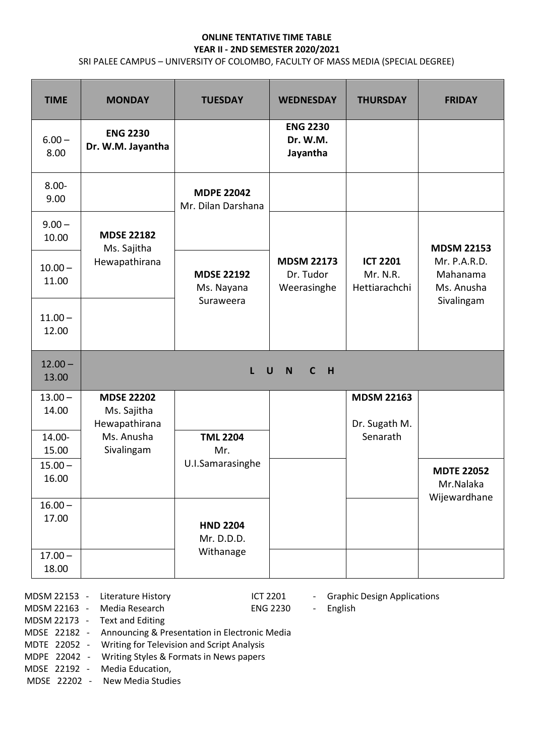## **ONLINE TENTATIVE TIME TABLE YEAR II - 2ND SEMESTER 2020/2021**

SRI PALEE CAMPUS – UNIVERSITY OF COLOMBO, FACULTY OF MASS MEDIA (SPECIAL DEGREE)

| <b>TIME</b>        | <b>MONDAY</b>                                     | <b>TUESDAY</b>                               | <b>WEDNESDAY</b>                              | <b>THURSDAY</b>                              | <b>FRIDAY</b>                          |
|--------------------|---------------------------------------------------|----------------------------------------------|-----------------------------------------------|----------------------------------------------|----------------------------------------|
| $6.00 -$<br>8.00   | <b>ENG 2230</b><br>Dr. W.M. Jayantha              |                                              | <b>ENG 2230</b><br>Dr. W.M.<br>Jayantha       |                                              |                                        |
| $8.00 -$<br>9.00   |                                                   | <b>MDPE 22042</b><br>Mr. Dilan Darshana      |                                               |                                              |                                        |
| $9.00 -$<br>10.00  | <b>MDSE 22182</b><br>Ms. Sajitha                  |                                              |                                               |                                              | <b>MDSM 22153</b>                      |
| $10.00 -$<br>11.00 | Hewapathirana                                     | <b>MDSE 22192</b><br>Ms. Nayana<br>Suraweera | <b>MDSM 22173</b><br>Dr. Tudor<br>Weerasinghe | <b>ICT 2201</b><br>Mr. N.R.<br>Hettiarachchi | Mr. P.A.R.D.<br>Mahanama<br>Ms. Anusha |
| $11.00 -$<br>12.00 |                                                   |                                              |                                               |                                              | Sivalingam                             |
| $12.00 -$<br>13.00 |                                                   | L                                            | H<br>$\mathsf{C}$<br>$\cup$<br>$\mathbf N$    |                                              |                                        |
| $13.00 -$<br>14.00 | <b>MDSE 22202</b><br>Ms. Sajitha<br>Hewapathirana |                                              |                                               | <b>MDSM 22163</b><br>Dr. Sugath M.           |                                        |
| 14.00-<br>15.00    | Ms. Anusha<br>Sivalingam                          | <b>TML 2204</b><br>Mr.                       |                                               | Senarath                                     |                                        |
| $15.00 -$<br>16.00 |                                                   | U.I.Samarasinghe                             |                                               |                                              | <b>MDTE 22052</b><br>Mr.Nalaka         |
| $16.00 -$<br>17.00 |                                                   | <b>HND 2204</b><br>Mr. D.D.D.                |                                               |                                              | Wijewardhane                           |
| $17.00 -$<br>18.00 |                                                   | Withanage                                    |                                               |                                              |                                        |

 MDSM 22153 - Literature History ICT 2201 - Graphic Design Applications MDSM 22163 - Media Research ENG 2230 - English MDSM 22173 - Text and Editing MDSE 22182 - Announcing & Presentation in Electronic Media

MDTE 22052 - Writing for Television and Script Analysis

MDPE 22042 - Writing Styles & Formats in News papers

MDSE 22192 - Media Education,

MDSE 22202 - New Media Studies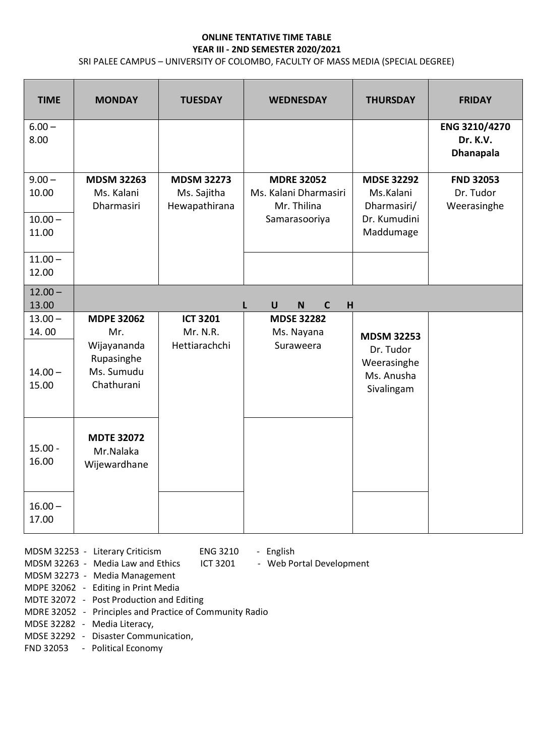## **ONLINE TENTATIVE TIME TABLE YEAR III - 2ND SEMESTER 2020/2021**

SRI PALEE CAMPUS – UNIVERSITY OF COLOMBO, FACULTY OF MASS MEDIA (SPECIAL DEGREE)

| <b>TIME</b>                 | <b>MONDAY</b>                                                | <b>TUESDAY</b>                                    | <b>WEDNESDAY</b>                                          | <b>THURSDAY</b>                                                           | <b>FRIDAY</b>                                 |
|-----------------------------|--------------------------------------------------------------|---------------------------------------------------|-----------------------------------------------------------|---------------------------------------------------------------------------|-----------------------------------------------|
| $6.00 -$<br>8.00            |                                                              |                                                   |                                                           |                                                                           | ENG 3210/4270<br>Dr. K.V.<br><b>Dhanapala</b> |
| $9.00 -$<br>10.00           | <b>MDSM 32263</b><br>Ms. Kalani<br><b>Dharmasiri</b>         | <b>MDSM 32273</b><br>Ms. Sajitha<br>Hewapathirana | <b>MDRE 32052</b><br>Ms. Kalani Dharmasiri<br>Mr. Thilina | <b>MDSE 32292</b><br>Ms.Kalani<br>Dharmasiri/                             | <b>FND 32053</b><br>Dr. Tudor<br>Weerasinghe  |
| $10.00 -$<br>11.00          |                                                              |                                                   | Samarasooriya                                             | Dr. Kumudini<br>Maddumage                                                 |                                               |
| $11.00 -$<br>12.00          |                                                              |                                                   |                                                           |                                                                           |                                               |
| $12.00 -$<br>13.00          |                                                              |                                                   | $\mathbf C$<br>$\mathsf{U}$<br><b>N</b><br>H              |                                                                           |                                               |
| $13.00 -$                   | <b>MDPE 32062</b>                                            | <b>ICT 3201</b>                                   | <b>MDSE 32282</b>                                         |                                                                           |                                               |
| 14.00<br>$14.00 -$<br>15.00 | Mr.<br>Wijayananda<br>Rupasinghe<br>Ms. Sumudu<br>Chathurani | Mr. N.R.<br>Hettiarachchi                         | Ms. Nayana<br>Suraweera                                   | <b>MDSM 32253</b><br>Dr. Tudor<br>Weerasinghe<br>Ms. Anusha<br>Sivalingam |                                               |
| $15.00 -$<br>16.00          | <b>MDTE 32072</b><br>Mr.Nalaka<br>Wijewardhane               |                                                   |                                                           |                                                                           |                                               |
| $16.00 -$<br>17.00          |                                                              |                                                   |                                                           |                                                                           |                                               |

MDSM 32253 - Literary Criticism ENG 3210 - English

MDSM 32263 - Media Law and Ethics ICT 3201 - Web Portal Development

MDSM 32273 - Media Management

MDPE 32062 - Editing in Print Media

- MDTE 32072 Post Production and Editing
- MDRE 32052 Principles and Practice of Community Radio
- MDSE 32282 Media Literacy,
- MDSE 32292 Disaster Communication,

FND 32053 - Political Economy